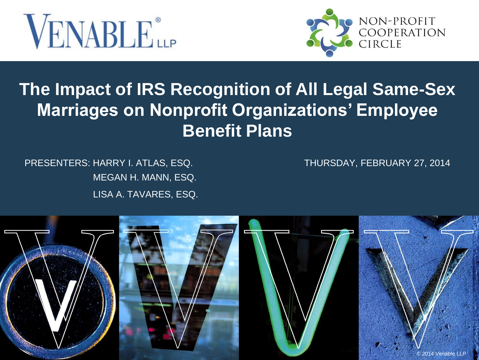



#### **The Impact of IRS Recognition of All Legal Same-Sex Marriages on Nonprofit Organizations' Employee Benefit Plans**

PRESENTERS: HARRY I. ATLAS, ESQ. THURSDAY, FEBRUARY 27, 2014 MEGAN H. MANN, ESQ. LISA A. TAVARES, ESQ.

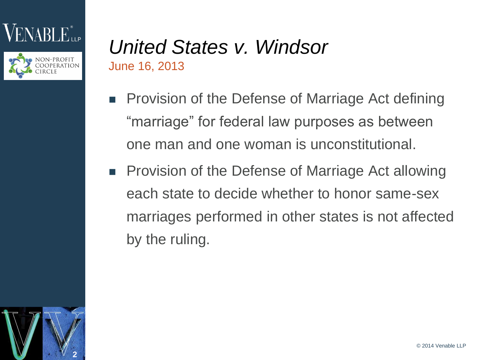



#### *United States v. Windsor*  June 16, 2013

- Provision of the Defense of Marriage Act defining "marriage" for federal law purposes as between one man and one woman is unconstitutional.
- **Provision of the Defense of Marriage Act allowing** each state to decide whether to honor same-sex marriages performed in other states is not affected by the ruling.

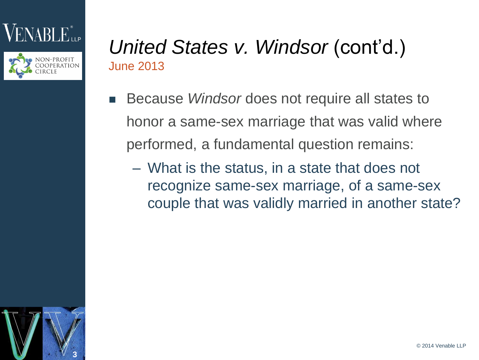



#### *United States v. Windsor (cont'd.)* June 2013

- Because *Windsor* does not require all states to honor a same-sex marriage that was valid where performed, a fundamental question remains:
	- What is the status, in a state that does not recognize same-sex marriage, of a same-sex couple that was validly married in another state?

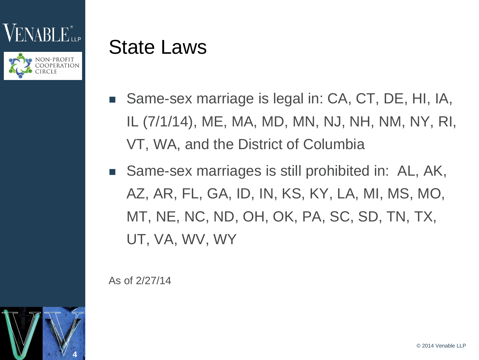



## State Laws

- Same-sex marriage is legal in: CA, CT, DE, HI, IA, IL (7/1/14), ME, MA, MD, MN, NJ, NH, NM, NY, RI, VT, WA, and the District of Columbia
- Same-sex marriages is still prohibited in: AL, AK, AZ, AR, FL, GA, ID, IN, KS, KY, LA, MI, MS, MO, MT, NE, NC, ND, OH, OK, PA, SC, SD, TN, TX, UT, VA, WV, WY

As of 2/27/14

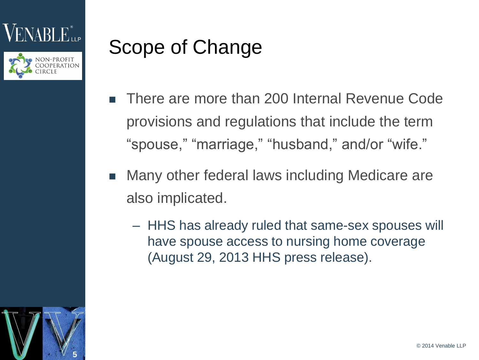



# Scope of Change

- There are more than 200 Internal Revenue Code provisions and regulations that include the term "spouse," "marriage," "husband," and/or "wife."
- Many other federal laws including Medicare are also implicated.
	- HHS has already ruled that same-sex spouses will have spouse access to nursing home coverage (August 29, 2013 HHS press release).

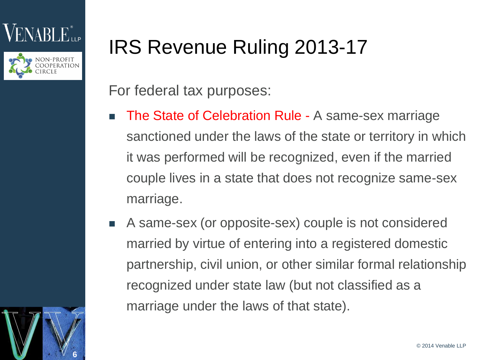



# IRS Revenue Ruling 2013-17

For federal tax purposes:

- The State of Celebration Rule A same-sex marriage sanctioned under the laws of the state or territory in which it was performed will be recognized, even if the married couple lives in a state that does not recognize same-sex marriage.
- A same-sex (or opposite-sex) couple is not considered married by virtue of entering into a registered domestic partnership, civil union, or other similar formal relationship recognized under state law (but not classified as a marriage under the laws of that state).

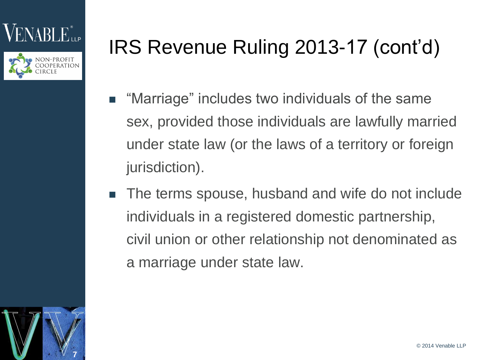



# IRS Revenue Ruling 2013-17 (cont'd)

- "Marriage" includes two individuals of the same sex, provided those individuals are lawfully married under state law (or the laws of a territory or foreign jurisdiction).
- The terms spouse, husband and wife do not include individuals in a registered domestic partnership, civil union or other relationship not denominated as a marriage under state law.

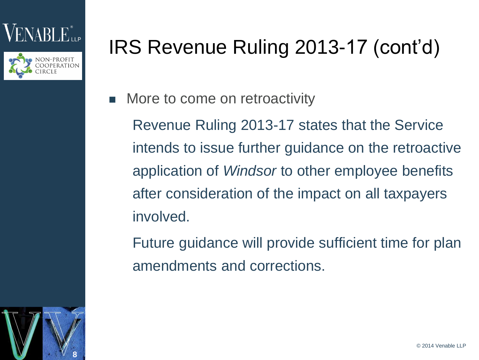



## IRS Revenue Ruling 2013-17 (cont'd)

More to come on retroactivity

Revenue Ruling 2013-17 states that the Service intends to issue further guidance on the retroactive application of *Windsor* to other employee benefits after consideration of the impact on all taxpayers involved.

Future guidance will provide sufficient time for plan amendments and corrections.

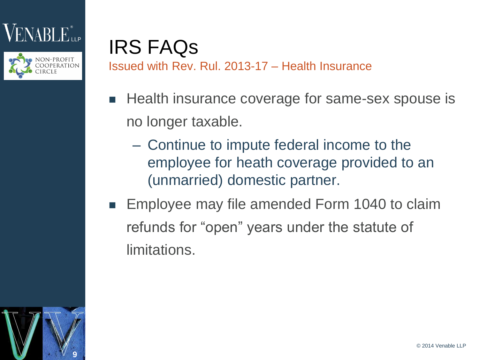



#### IRS FAQs Issued with Rev. Rul. 2013-17 – Health Insurance

- Health insurance coverage for same-sex spouse is no longer taxable.
	- Continue to impute federal income to the employee for heath coverage provided to an (unmarried) domestic partner.
- **Employee may file amended Form 1040 to claim** refunds for "open" years under the statute of limitations.

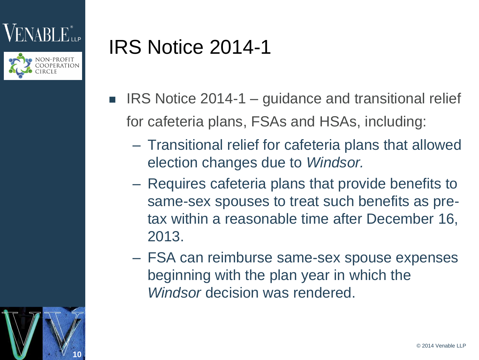



## IRS Notice 2014-1

- $\blacksquare$  IRS Notice 2014-1 guidance and transitional relief for cafeteria plans, FSAs and HSAs, including:
	- Transitional relief for cafeteria plans that allowed election changes due to *Windsor.*
	- Requires cafeteria plans that provide benefits to same-sex spouses to treat such benefits as pretax within a reasonable time after December 16, 2013.
	- FSA can reimburse same-sex spouse expenses beginning with the plan year in which the *Windsor* decision was rendered.

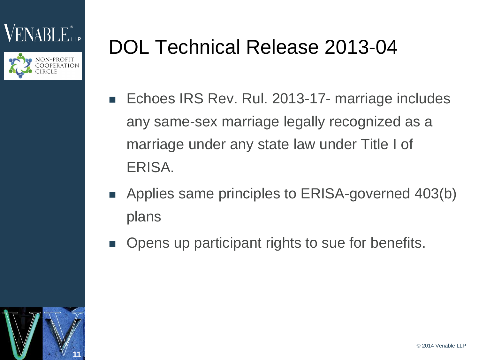



## DOL Technical Release 2013-04

- Echoes IRS Rev. Rul. 2013-17- marriage includes any same-sex marriage legally recognized as a marriage under any state law under Title I of ERISA.
- **Applies same principles to ERISA-governed 403(b)** plans
- Opens up participant rights to sue for benefits.

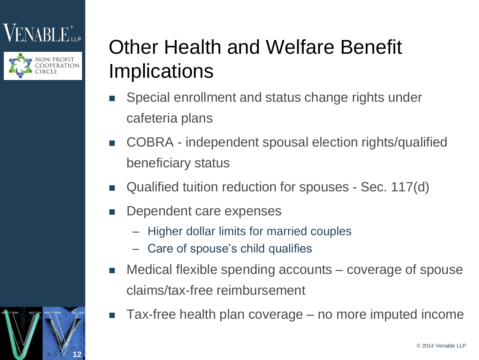



## Other Health and Welfare Benefit Implications

- Special enrollment and status change rights under cafeteria plans
- COBRA independent spousal election rights/qualified beneficiary status
- Qualified tuition reduction for spouses Sec. 117(d)
- Dependent care expenses
	- Higher dollar limits for married couples
	- Care of spouse's child qualifies
- Medical flexible spending accounts coverage of spouse claims/tax-free reimbursement
- Tax-free health plan coverage no more imputed income

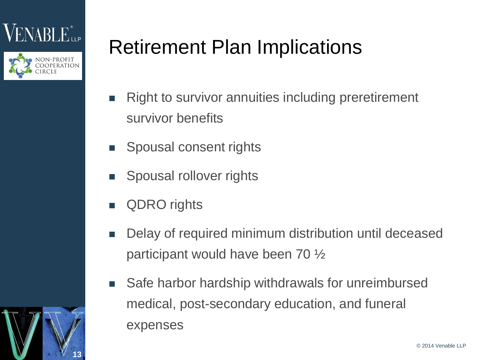



## Retirement Plan Implications

- Right to survivor annuities including preretirement survivor benefits
- Spousal consent rights
- Spousal rollover rights
- QDRO rights
- Delay of required minimum distribution until deceased participant would have been 70 ½
- Safe harbor hardship withdrawals for unreimbursed medical, post-secondary education, and funeral expenses

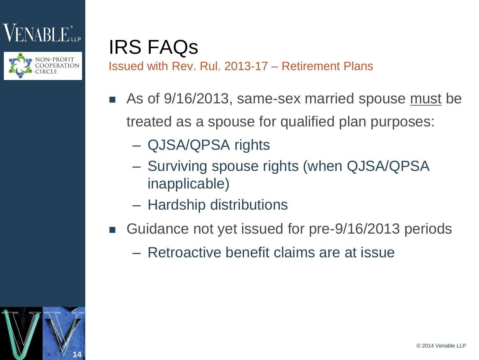



#### IRS FAQs Issued with Rev. Rul. 2013-17 – Retirement Plans

- As of 9/16/2013, same-sex married spouse must be treated as a spouse for qualified plan purposes:
	- QJSA/QPSA rights
	- Surviving spouse rights (when QJSA/QPSA inapplicable)
	- Hardship distributions
- Guidance not yet issued for pre-9/16/2013 periods
	- Retroactive benefit claims are at issue

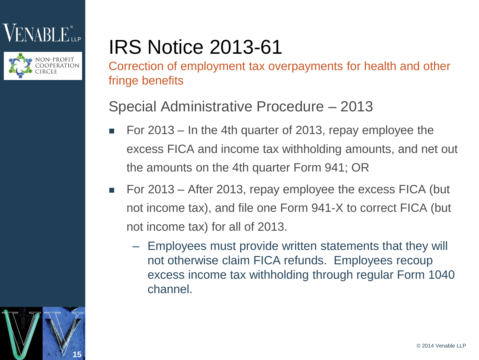### 'NABLE<sup>®</sup>



# IRS Notice 2013-61

Correction of employment tax overpayments for health and other fringe benefits

#### Special Administrative Procedure – 2013

- For 2013 In the 4th quarter of 2013, repay employee the excess FICA and income tax withholding amounts, and net out the amounts on the 4th quarter Form 941; OR
- For 2013 After 2013, repay employee the excess FICA (but not income tax), and file one Form 941-X to correct FICA (but not income tax) for all of 2013.
	- Employees must provide written statements that they will not otherwise claim FICA refunds. Employees recoup excess income tax withholding through regular Form 1040 channel.

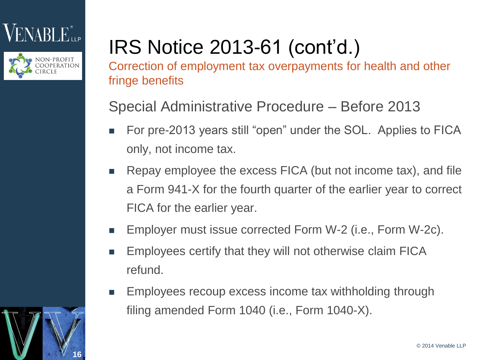### $\text{NABL}$



# IRS Notice 2013-61 (cont'd.)

Correction of employment tax overpayments for health and other fringe benefits

Special Administrative Procedure – Before 2013

- For pre-2013 years still "open" under the SOL. Applies to FICA only, not income tax.
- **EXTERG** Repay employee the excess FICA (but not income tax), and file a Form 941-X for the fourth quarter of the earlier year to correct FICA for the earlier year.
- Employer must issue corrected Form W-2 (i.e., Form W-2c).
- **Employees certify that they will not otherwise claim FICA** refund.
- Employees recoup excess income tax withholding through filing amended Form 1040 (i.e., Form 1040-X).

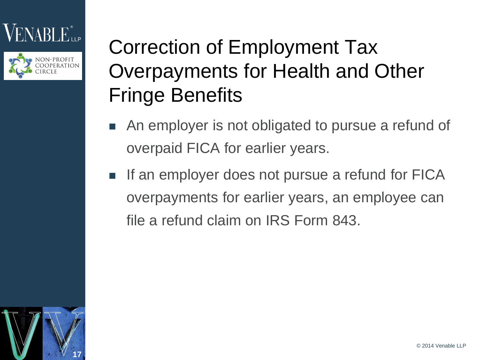### $\mathbf{N} \mathbf{A} \mathbf{B} \mathbf{L} \mathbf{E}^*$ ller



## Correction of Employment Tax Overpayments for Health and Other Fringe Benefits

- **An employer is not obligated to pursue a refund of** overpaid FICA for earlier years.
- If an employer does not pursue a refund for FICA overpayments for earlier years, an employee can file a refund claim on IRS Form 843.

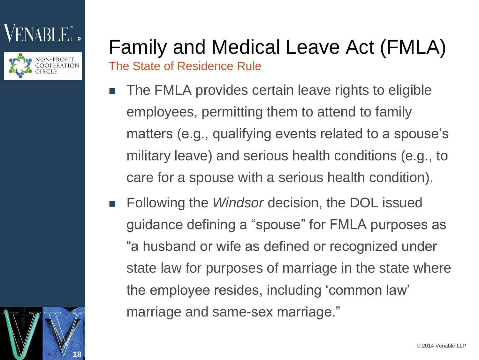



#### Family and Medical Leave Act (FMLA) The State of Residence Rule

- The FMLA provides certain leave rights to eligible employees, permitting them to attend to family matters (e.g., qualifying events related to a spouse's military leave) and serious health conditions (e.g., to care for a spouse with a serious health condition).
- Following the *Windsor* decision, the DOL issued guidance defining a "spouse" for FMLA purposes as "a husband or wife as defined or recognized under state law for purposes of marriage in the state where the employee resides, including 'common law' marriage and same-sex marriage."

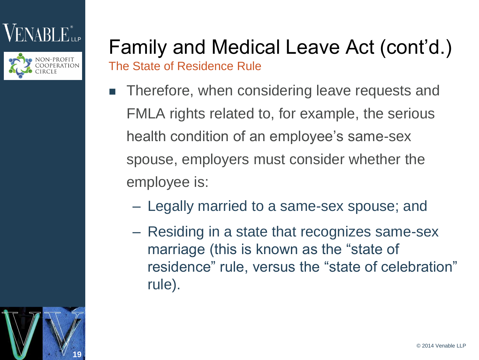



#### Family and Medical Leave Act (cont'd.) The State of Residence Rule

- Therefore, when considering leave requests and FMLA rights related to, for example, the serious health condition of an employee's same-sex spouse, employers must consider whether the employee is:
	- Legally married to a same-sex spouse; and
	- Residing in a state that recognizes same-sex marriage (this is known as the "state of residence" rule, versus the "state of celebration" rule).

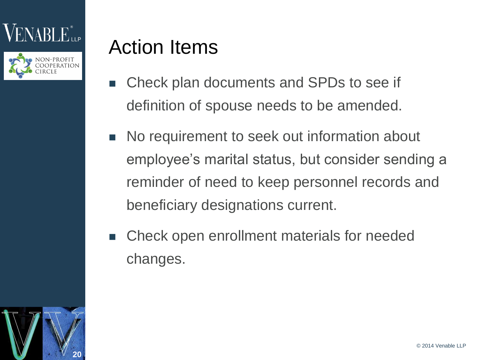



### Action Items

- Check plan documents and SPDs to see if definition of spouse needs to be amended.
- No requirement to seek out information about employee's marital status, but consider sending a reminder of need to keep personnel records and beneficiary designations current.
- Check open enrollment materials for needed changes.

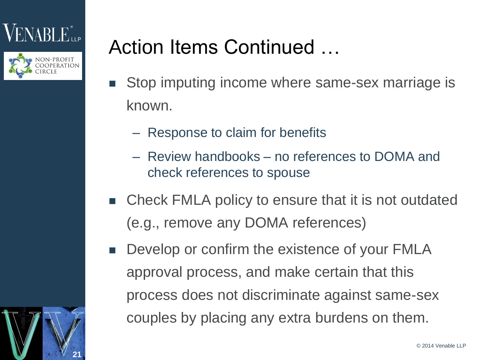



**21**

## Action Items Continued …

- **Stop imputing income where same-sex marriage is** known.
	- Response to claim for benefits
	- Review handbooks no references to DOMA and check references to spouse
- Check FMLA policy to ensure that it is not outdated (e.g., remove any DOMA references)
- Develop or confirm the existence of your FMLA approval process, and make certain that this process does not discriminate against same-sex couples by placing any extra burdens on them.